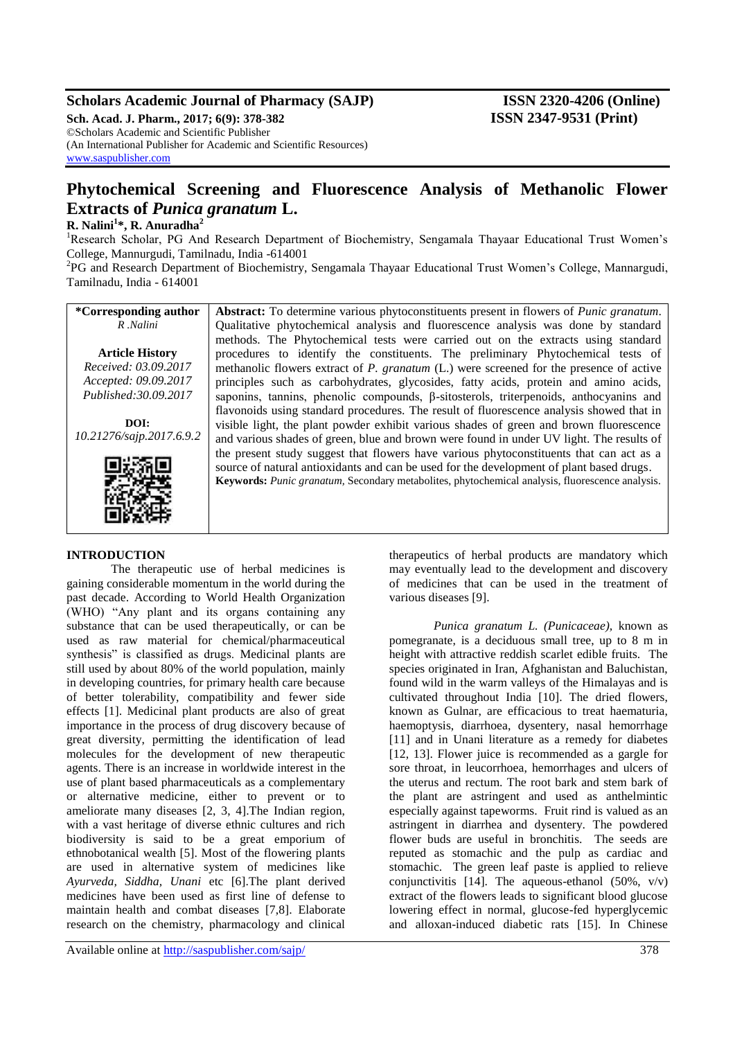# **Scholars Academic Journal of Pharmacy (SAJP) ISSN 2320-4206 (Online)**

**Sch. Acad. J. Pharm., 2017; 6(9): 378-382 ISSN 2347-9531 (Print)** ©Scholars Academic and Scientific Publisher (An International Publisher for Academic and Scientific Resources) [www.saspublisher.com](http://www.saspublisher.com/)

# **Phytochemical Screening and Fluorescence Analysis of Methanolic Flower Extracts of** *Punica granatum* **L.**

# **R. Nalini<sup>1</sup> \*, R. Anuradha<sup>2</sup>**

<sup>1</sup>Research Scholar, PG And Research Department of Biochemistry, Sengamala Thayaar Educational Trust Women's College, Mannurgudi, Tamilnadu, India -614001

<sup>2</sup>PG and Research Department of Biochemistry, Sengamala Thayaar Educational Trust Women's College, Mannargudi, Tamilnadu, India - 614001

| *Corresponding author    | Abstract: To determine various phytoconstituents present in flowers of <i>Punic granatum</i> .  |
|--------------------------|-------------------------------------------------------------------------------------------------|
| R.Nalini                 | Qualitative phytochemical analysis and fluorescence analysis was done by standard               |
|                          | methods. The Phytochemical tests were carried out on the extracts using standard                |
| <b>Article History</b>   | procedures to identify the constituents. The preliminary Phytochemical tests of                 |
| Received: 03.09.2017     | methanolic flowers extract of P. granatum (L.) were screened for the presence of active         |
| Accepted: 09.09.2017     | principles such as carbohydrates, glycosides, fatty acids, protein and amino acids,             |
| Published: 30.09.2017    | saponins, tannins, phenolic compounds, $\beta$ -sitosterols, triterpenoids, anthocyanins and    |
|                          | flavonoids using standard procedures. The result of fluorescence analysis showed that in        |
| DOI:                     | visible light, the plant powder exhibit various shades of green and brown fluorescence          |
| 10.21276/sajp.2017.6.9.2 | and various shades of green, blue and brown were found in under UV light. The results of        |
|                          | the present study suggest that flowers have various phytoconstituents that can act as a         |
|                          | source of natural antioxidants and can be used for the development of plant based drugs.        |
|                          | Keywords: Punic granatum, Secondary metabolites, phytochemical analysis, fluorescence analysis. |
|                          |                                                                                                 |
|                          |                                                                                                 |
|                          |                                                                                                 |

# **INTRODUCTION**

The therapeutic use of herbal medicines is gaining considerable momentum in the world during the past decade. According to World Health Organization (WHO) "Any plant and its organs containing any substance that can be used therapeutically, or can be used as raw material for chemical/pharmaceutical synthesis" is classified as drugs. Medicinal plants are still used by about 80% of the world population, mainly in developing countries, for primary health care because of better tolerability, compatibility and fewer side effects [1]. Medicinal plant products are also of great importance in the process of drug discovery because of great diversity, permitting the identification of lead molecules for the development of new therapeutic agents. There is an increase in worldwide interest in the use of plant based pharmaceuticals as a complementary or alternative medicine, either to prevent or to ameliorate many diseases [2, 3, 4].The Indian region, with a vast heritage of diverse ethnic cultures and rich biodiversity is said to be a great emporium of ethnobotanical wealth [5]. Most of the flowering plants are used in alternative system of medicines like *Ayurveda, Siddha, Unani* etc [6].The plant derived medicines have been used as first line of defense to maintain health and combat diseases [7,8]. Elaborate research on the chemistry, pharmacology and clinical

therapeutics of herbal products are mandatory which may eventually lead to the development and discovery of medicines that can be used in the treatment of various diseases [9].

*Punica granatum L. (Punicaceae),* known as pomegranate, is a deciduous small tree, up to 8 m in height with attractive reddish scarlet edible fruits. The species originated in Iran, Afghanistan and Baluchistan, found wild in the warm valleys of the Himalayas and is cultivated throughout India [10]. The dried flowers, known as Gulnar, are efficacious to treat haematuria, haemoptysis, diarrhoea, dysentery, nasal hemorrhage [11] and in Unani literature as a remedy for diabetes [12, 13]. Flower juice is recommended as a gargle for sore throat, in leucorrhoea, hemorrhages and ulcers of the uterus and rectum. The root bark and stem bark of the plant are astringent and used as anthelmintic especially against tapeworms. Fruit rind is valued as an astringent in diarrhea and dysentery. The powdered flower buds are useful in bronchitis. The seeds are reputed as stomachic and the pulp as cardiac and stomachic. The green leaf paste is applied to relieve conjunctivitis [14]. The aqueous-ethanol  $(50\%, \text{ v/v})$ extract of the flowers leads to significant blood glucose lowering effect in normal, glucose-fed hyperglycemic and alloxan-induced diabetic rats [15]. In Chinese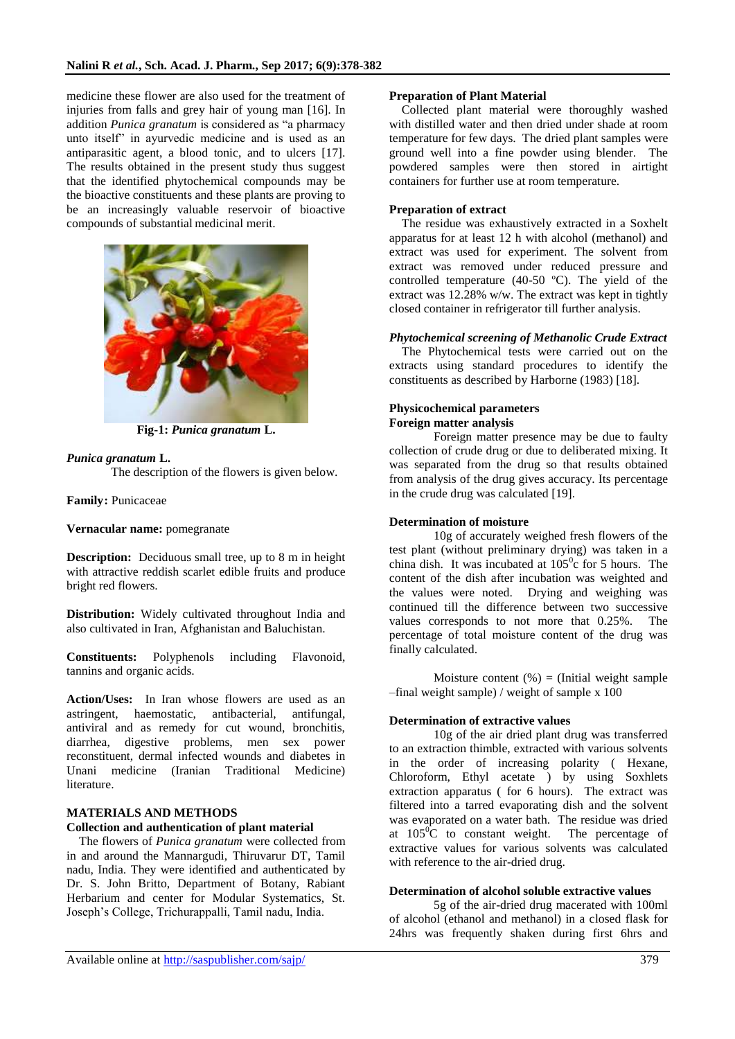medicine these flower are also used for the treatment of injuries from falls and grey hair of young man [16]. In addition *Punica granatum* is considered as "a pharmacy unto itself" in ayurvedic medicine and is used as an antiparasitic agent, a blood tonic, and to ulcers [17]. The results obtained in the present study thus suggest that the identified phytochemical compounds may be the bioactive constituents and these plants are proving to be an increasingly valuable reservoir of bioactive compounds of substantial medicinal merit.



**Fig-1:** *Punica granatum* **L.**

## *Punica granatum* **L.**

The description of the flowers is given below.

**Family:** Punicaceae

### **Vernacular name:** pomegranate

**Description:** Deciduous small tree, up to 8 m in height with attractive reddish scarlet edible fruits and produce bright red flowers.

**Distribution:** Widely cultivated throughout India and also cultivated in Iran, Afghanistan and Baluchistan.

**Constituents:** Polyphenols including Flavonoid, tannins and organic acids.

**Action/Uses:** In Iran whose flowers are used as an astringent, haemostatic, antibacterial, antifungal, antiviral and as remedy for cut wound, bronchitis, diarrhea, digestive problems, men sex power reconstituent, dermal infected wounds and diabetes in Unani medicine (Iranian Traditional Medicine) literature.

# **MATERIALS AND METHODS**

### **Collection and authentication of plant material**

The flowers of *Punica granatum* were collected from in and around the Mannargudi, Thiruvarur DT, Tamil nadu, India. They were identified and authenticated by Dr. S. John Britto, Department of Botany, Rabiant Herbarium and center for Modular Systematics, St. Joseph's College, Trichurappalli, Tamil nadu, India.

### **Preparation of Plant Material**

Collected plant material were thoroughly washed with distilled water and then dried under shade at room temperature for few days. The dried plant samples were ground well into a fine powder using blender. The powdered samples were then stored in airtight containers for further use at room temperature.

### **Preparation of extract**

The residue was exhaustively extracted in a Soxhelt apparatus for at least 12 h with alcohol (methanol) and extract was used for experiment. The solvent from extract was removed under reduced pressure and controlled temperature (40-50 ºC). The yield of the extract was 12.28% w/w. The extract was kept in tightly closed container in refrigerator till further analysis.

### *Phytochemical screening of Methanolic Crude Extract*

The Phytochemical tests were carried out on the extracts using standard procedures to identify the constituents as described by Harborne (1983) [18].

### **Physicochemical parameters Foreign matter analysis**

Foreign matter presence may be due to faulty collection of crude drug or due to deliberated mixing. It was separated from the drug so that results obtained from analysis of the drug gives accuracy. Its percentage in the crude drug was calculated [19].

### **Determination of moisture**

10g of accurately weighed fresh flowers of the test plant (without preliminary drying) was taken in a china dish. It was incubated at  $105^{\circ}$ c for 5 hours. The content of the dish after incubation was weighted and the values were noted. Drying and weighing was continued till the difference between two successive values corresponds to not more that 0.25%. The percentage of total moisture content of the drug was finally calculated.

Moisture content  $(\%)$  = (Initial weight sample  $-$ final weight sample) / weight of sample x 100

### **Determination of extractive values**

10g of the air dried plant drug was transferred to an extraction thimble, extracted with various solvents in the order of increasing polarity ( Hexane, Chloroform, Ethyl acetate ) by using Soxhlets extraction apparatus ( for 6 hours). The extract was filtered into a tarred evaporating dish and the solvent was evaporated on a water bath. The residue was dried at  $105^{\circ}$ C to constant weight. The percentage of extractive values for various solvents was calculated with reference to the air-dried drug.

### **Determination of alcohol soluble extractive values**

5g of the air-dried drug macerated with 100ml of alcohol (ethanol and methanol) in a closed flask for 24hrs was frequently shaken during first 6hrs and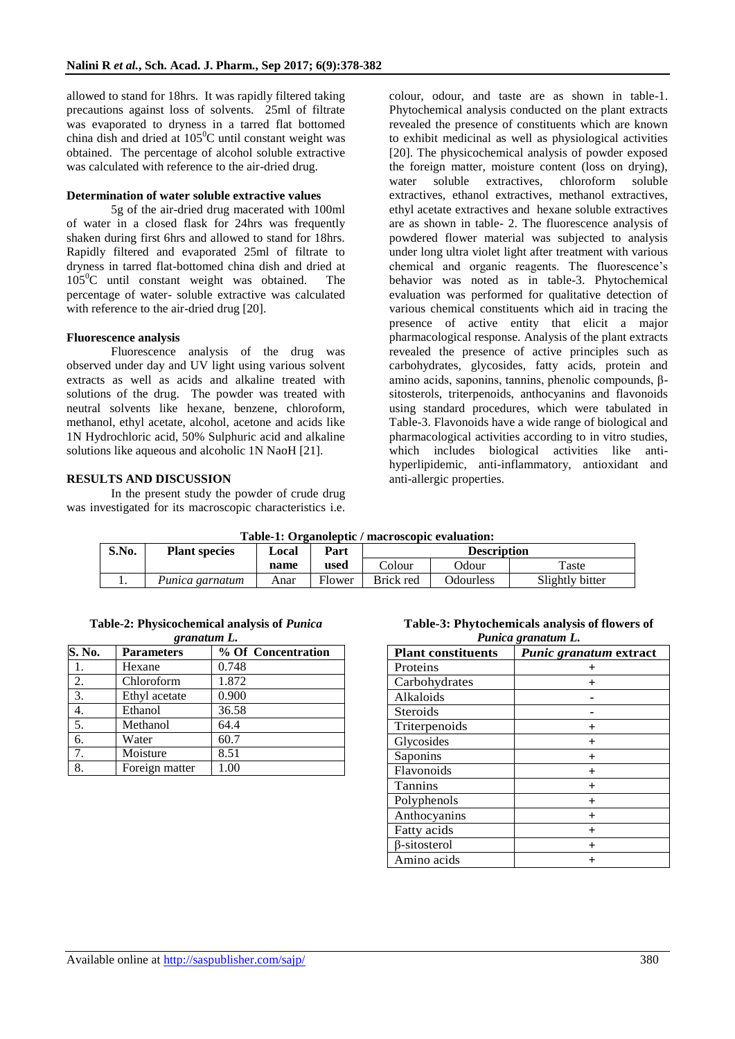allowed to stand for 18hrs. It was rapidly filtered taking precautions against loss of solvents. 25ml of filtrate was evaporated to dryness in a tarred flat bottomed china dish and dried at  $105^{\circ}$ C until constant weight was obtained. The percentage of alcohol soluble extractive was calculated with reference to the air-dried drug.

#### **Determination of water soluble extractive values**

5g of the air-dried drug macerated with 100ml of water in a closed flask for 24hrs was frequently shaken during first 6hrs and allowed to stand for 18hrs. Rapidly filtered and evaporated 25ml of filtrate to dryness in tarred flat-bottomed china dish and dried at  $105^{\circ}$ C until constant weight was obtained. The percentage of water- soluble extractive was calculated with reference to the air-dried drug [20].

#### **Fluorescence analysis**

Fluorescence analysis of the drug was observed under day and UV light using various solvent extracts as well as acids and alkaline treated with solutions of the drug. The powder was treated with neutral solvents like hexane, benzene, chloroform, methanol, ethyl acetate, alcohol, acetone and acids like 1N Hydrochloric acid, 50% Sulphuric acid and alkaline solutions like aqueous and alcoholic 1N NaoH [21].

#### **RESULTS AND DISCUSSION**

In the present study the powder of crude drug was investigated for its macroscopic characteristics i.e.

colour, odour, and taste are as shown in table-1. Phytochemical analysis conducted on the plant extracts revealed the presence of constituents which are known to exhibit medicinal as well as physiological activities [20]. The physicochemical analysis of powder exposed the foreign matter, moisture content (loss on drying), water soluble extractives, chloroform soluble extractives, ethanol extractives, methanol extractives, ethyl acetate extractives and hexane soluble extractives are as shown in table- 2. The fluorescence analysis of powdered flower material was subjected to analysis under long ultra violet light after treatment with various chemical and organic reagents. The fluorescence's behavior was noted as in table-3. Phytochemical evaluation was performed for qualitative detection of various chemical constituents which aid in tracing the presence of active entity that elicit a major pharmacological response. Analysis of the plant extracts revealed the presence of active principles such as carbohydrates, glycosides, fatty acids, protein and amino acids, saponins, tannins, phenolic compounds, βsitosterols, triterpenoids, anthocyanins and flavonoids using standard procedures, which were tabulated in Table-3. Flavonoids have a wide range of biological and pharmacological activities according to in vitro studies, which includes biological activities like antihyperlipidemic, anti-inflammatory, antioxidant and anti-allergic properties.

| Table-1: Organoleptic / macroscopic evaluation: |                      |       |        |                    |                  |                 |
|-------------------------------------------------|----------------------|-------|--------|--------------------|------------------|-----------------|
| S.No.                                           | <b>Plant species</b> | Local | Part   | <b>Description</b> |                  |                 |
|                                                 |                      | name  | used   | Colour             | Odour            | Taste           |
|                                                 | Punica garnatum      | Anar  | Flower | Brick red          | <b>Odourless</b> | Slightly bitter |

**Table-2: Physicochemical analysis of** *Punica*

| granatum L. |                   |                    |  |  |  |  |
|-------------|-------------------|--------------------|--|--|--|--|
| S. No.      | <b>Parameters</b> | % Of Concentration |  |  |  |  |
|             | Hexane            | 0.748              |  |  |  |  |
| 2.          | Chloroform        | 1.872              |  |  |  |  |
| 3.          | Ethyl acetate     | 0.900              |  |  |  |  |
| 4.          | Ethanol           | 36.58              |  |  |  |  |
| 5.          | Methanol          | 64.4               |  |  |  |  |
| 6.          | Water             | 60.7               |  |  |  |  |
| 7.          | Moisture          | 8.51               |  |  |  |  |
| 8.          | Foreign matter    | 1.00               |  |  |  |  |

**Table-3: Phytochemicals analysis of flowers of**  *Punica granatum L.*

| <b>Plant constituents</b> | Punic granatum extract |
|---------------------------|------------------------|
| Proteins                  |                        |
| Carbohydrates             |                        |
| Alkaloids                 |                        |
| <b>Steroids</b>           |                        |
| Triterpenoids             | $\pm$                  |
| Glycosides                | $^{+}$                 |
| Saponins                  | $^+$                   |
| Flavonoids                | $^{+}$                 |
| <b>Tannins</b>            | $^+$                   |
| Polyphenols               | $\ddot{}$              |
| Anthocyanins              | $\ddot{}$              |
| Fatty acids               | $\pm$                  |
| β-sitosterol              | $^{+}$                 |
| Amino acids               | $^{+}$                 |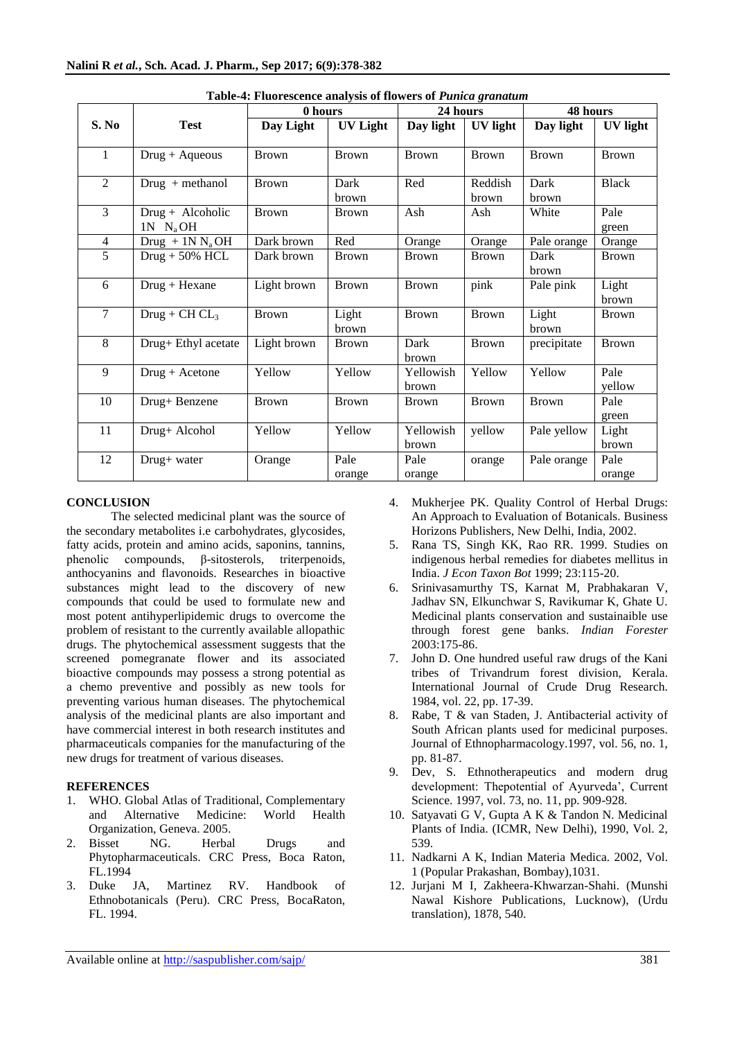|                |                                     | 0 hours      |                 | 24 hours           |                  | 48 hours       |                 |
|----------------|-------------------------------------|--------------|-----------------|--------------------|------------------|----------------|-----------------|
| S. No          | <b>Test</b>                         | Day Light    | <b>UV Light</b> | Day light          | UV light         | Day light      | <b>UV</b> light |
| $\mathbf{1}$   | $Drug + Aqueous$                    | <b>Brown</b> | Brown           | <b>Brown</b>       | <b>Brown</b>     | <b>Brown</b>   | <b>Brown</b>    |
| 2              | $Drug + methanol$                   | <b>Brown</b> | Dark<br>brown   | Red                | Reddish<br>brown | Dark<br>brown  | <b>Black</b>    |
| 3              | $Drug + Alcoholic$<br>$1N$ $N_a$ OH | <b>Brown</b> | <b>Brown</b>    | Ash                | Ash              | White          | Pale<br>green   |
| $\overline{4}$ | Drug + $1N N_aOH$                   | Dark brown   | Red             | Orange             | Orange           | Pale orange    | Orange          |
| 5              | $Drug + 50\%$ HCL                   | Dark brown   | <b>Brown</b>    | <b>Brown</b>       | <b>Brown</b>     | Dark<br>brown  | <b>Brown</b>    |
| 6              | $Drug + Hexane$                     | Light brown  | <b>Brown</b>    | <b>Brown</b>       | pink             | Pale pink      | Light<br>brown  |
| $\tau$         | $Drug + CH CL$                      | <b>Brown</b> | Light<br>brown  | <b>Brown</b>       | <b>Brown</b>     | Light<br>brown | <b>Brown</b>    |
| 8              | Drug+ Ethyl acetate                 | Light brown  | <b>Brown</b>    | Dark<br>brown      | <b>Brown</b>     | precipitate    | <b>Brown</b>    |
| 9              | $Drug + Acetone$                    | Yellow       | Yellow          | Yellowish<br>brown | Yellow           | Yellow         | Pale<br>yellow  |
| 10             | Drug+ Benzene                       | <b>Brown</b> | <b>Brown</b>    | <b>Brown</b>       | <b>Brown</b>     | <b>Brown</b>   | Pale<br>green   |
| 11             | Drug+ Alcohol                       | Yellow       | Yellow          | Yellowish<br>brown | yellow           | Pale yellow    | Light<br>brown  |
| 12             | Drug+ water                         | Orange       | Pale<br>orange  | Pale<br>orange     | orange           | Pale orange    | Pale<br>orange  |

|  | Table-4: Fluorescence analysis of flowers of Punica granatum |  |  |  |  |
|--|--------------------------------------------------------------|--|--|--|--|
|--|--------------------------------------------------------------|--|--|--|--|

### **CONCLUSION**

The selected medicinal plant was the source of the secondary metabolites i.e carbohydrates, glycosides, fatty acids, protein and amino acids, saponins, tannins, phenolic compounds, β-sitosterols, triterpenoids, anthocyanins and flavonoids. Researches in bioactive substances might lead to the discovery of new compounds that could be used to formulate new and most potent antihyperlipidemic drugs to overcome the problem of resistant to the currently available allopathic drugs. The phytochemical assessment suggests that the screened pomegranate flower and its associated bioactive compounds may possess a strong potential as a chemo preventive and possibly as new tools for preventing various human diseases. The phytochemical analysis of the medicinal plants are also important and have commercial interest in both research institutes and pharmaceuticals companies for the manufacturing of the new drugs for treatment of various diseases.

### **REFERENCES**

- 1. WHO. Global Atlas of Traditional, Complementary and Alternative Medicine: World Health Organization, Geneva. 2005.
- 2. Bisset NG. Herbal Drugs and Phytopharmaceuticals. CRC Press, Boca Raton, FL.1994
- 3. Duke JA, Martinez RV. Handbook of Ethnobotanicals (Peru). CRC Press, BocaRaton, FL. 1994.
- 4. Mukherjee PK. Quality Control of Herbal Drugs: An Approach to Evaluation of Botanicals. Business Horizons Publishers, New Delhi, India, 2002.
- 5. Rana TS, Singh KK, Rao RR. 1999. Studies on indigenous herbal remedies for diabetes mellitus in India. *J Econ Taxon Bot* 1999; 23:115-20.
- 6. Srinivasamurthy TS, Karnat M, Prabhakaran V, Jadhav SN, Elkunchwar S, Ravikumar K, Ghate U. Medicinal plants conservation and sustainaible use through forest gene banks. *Indian Forester*  2003:175-86.
- 7. John D. One hundred useful raw drugs of the Kani tribes of Trivandrum forest division, Kerala. International Journal of Crude Drug Research. 1984, vol. 22, pp. 17-39.
- 8. Rabe, T & van Staden, J. Antibacterial activity of South African plants used for medicinal purposes. Journal of Ethnopharmacology.1997, vol. 56, no. 1, pp. 81-87.
- 9. Dev, S. Ethnotherapeutics and modern drug development: Thepotential of Ayurveda', Current Science. 1997, vol. 73, no. 11, pp. 909-928.
- 10. Satyavati G V, Gupta A K & Tandon N. Medicinal Plants of India. (ICMR, New Delhi), 1990, Vol. 2, 539.
- 11. Nadkarni A K, Indian Materia Medica. 2002, Vol. 1 (Popular Prakashan, Bombay),1031.
- 12. Jurjani M I, Zakheera-Khwarzan-Shahi. (Munshi Nawal Kishore Publications, Lucknow), (Urdu translation), 1878, 540.